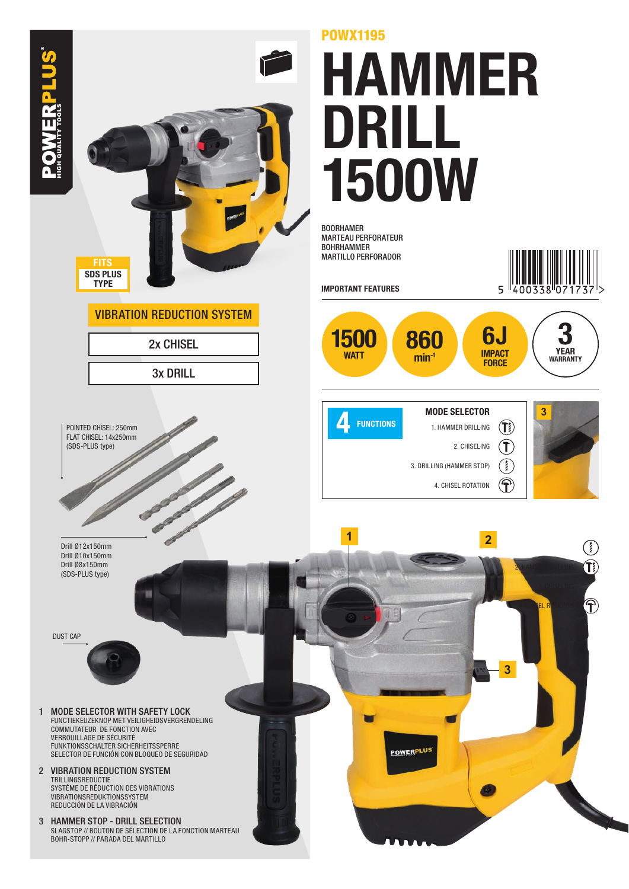